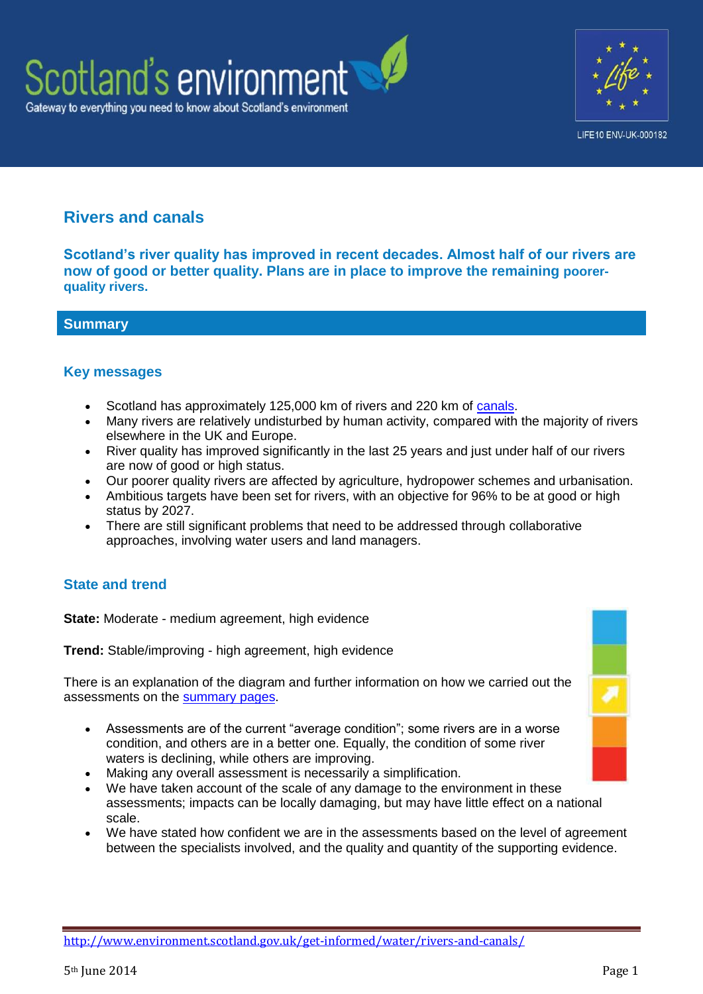



# **Rivers and canals**

**Scotland's river quality has improved in recent decades. Almost half of our rivers are now of good or better quality. Plans are in place to improve the remaining poorerquality rivers.**

**Summary**

### **Key messages**

- Scotland has approximately 125,000 km of rivers and 220 km of [canals.](http://www.scottishcanals.co.uk/)
- Many rivers are relatively undisturbed by human activity, compared with the majority of rivers elsewhere in the UK and Europe.
- River quality has improved significantly in the last 25 years and just under half of our rivers are now of good or high status.
- Our poorer quality rivers are affected by agriculture, hydropower schemes and urbanisation.
- Ambitious targets have been set for rivers, with an objective for 96% to be at good or high status by 2027.
- There are still significant problems that need to be addressed through collaborative approaches, involving water users and land managers.

# **State and trend**

**State:** Moderate - medium agreement, high evidence

**Trend:** Stable/improving - high agreement, high evidence

There is an explanation of the diagram and further information on how we carried out the assessments on the [summary pages.](http://www.environment.scotland.gov.uk/get-informed/state-of-the-environment-summary/state-and-trend-assessments/)

- Assessments are of the current "average condition"; some rivers are in a worse condition, and others are in a better one. Equally, the condition of some river waters is declining, while others are improving.
- Making any overall assessment is necessarily a simplification.
- We have taken account of the scale of any damage to the environment in these assessments; impacts can be locally damaging, but may have little effect on a national scale.
- We have stated how confident we are in the assessments based on the level of agreement between the specialists involved, and the quality and quantity of the supporting evidence.

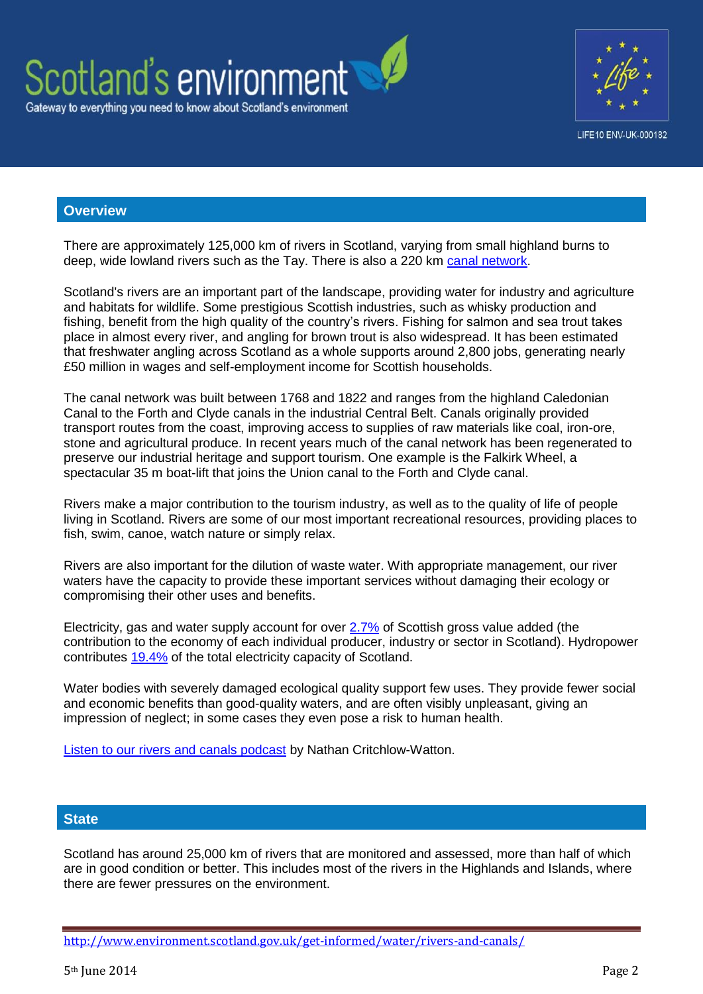



#### **Overview**

There are approximately 125,000 km of rivers in Scotland, varying from small highland burns to deep, wide lowland rivers such as the Tay. There is also a 220 km [canal network.](http://www.scottishcanals.co.uk/our-canals)

Scotland's rivers are an important part of the landscape, providing water for industry and agriculture and habitats for wildlife. Some prestigious Scottish industries, such as whisky production and fishing, benefit from the high quality of the country's rivers. Fishing for salmon and sea trout takes place in almost every river, and angling for brown trout is also widespread. It has been estimated that freshwater angling across Scotland as a whole supports around 2,800 jobs, generating nearly £50 million in wages and self-employment income for Scottish households.

The canal network was built between 1768 and 1822 and ranges from the highland Caledonian Canal to the Forth and Clyde canals in the industrial Central Belt. Canals originally provided transport routes from the coast, improving access to supplies of raw materials like coal, iron-ore, stone and agricultural produce. In recent years much of the canal network has been regenerated to preserve our industrial heritage and support tourism. One example is the Falkirk Wheel, a spectacular 35 m boat-lift that joins the Union canal to the Forth and Clyde canal.

Rivers make a major contribution to the tourism industry, as well as to the quality of life of people living in Scotland. Rivers are some of our most important recreational resources, providing places to fish, swim, canoe, watch nature or simply relax.

Rivers are also important for the dilution of waste water. With appropriate management, our river waters have the capacity to provide these important services without damaging their ecology or compromising their other uses and benefits.

Electricity, gas and water supply account for over [2.7%](http://www.scotland.gov.uk/Resource/Doc/933/0121553.xls) of Scottish gross value added (the contribution to the economy of each individual producer, industry or sector in Scotland). Hydropower contributes [19.4%](http://webarchive.nationalarchives.gov.uk/20121217150421/http:/www.decc.gov.uk/assets/decc/11/stats/publications/dukes/2307-dukes-2011-chapter-5-electricity.pdf) of the total electricity capacity of Scotland.

Water bodies with severely damaged ecological quality support few uses. They provide fewer social and economic benefits than good-quality waters, and are often visibly unpleasant, giving an impression of neglect; in some cases they even pose a risk to human health.

[Listen to our rivers and canals podcast](http://www.youtube.com/watch?v=snBv0stxDkk) by Nathan Critchlow-Watton.

#### **State**

Scotland has around 25,000 km of rivers that are monitored and assessed, more than half of which are in good condition or better. This includes most of the rivers in the Highlands and Islands, where there are fewer pressures on the environment.

<http://www.environment.scotland.gov.uk/get-informed/water/rivers-and-canals/>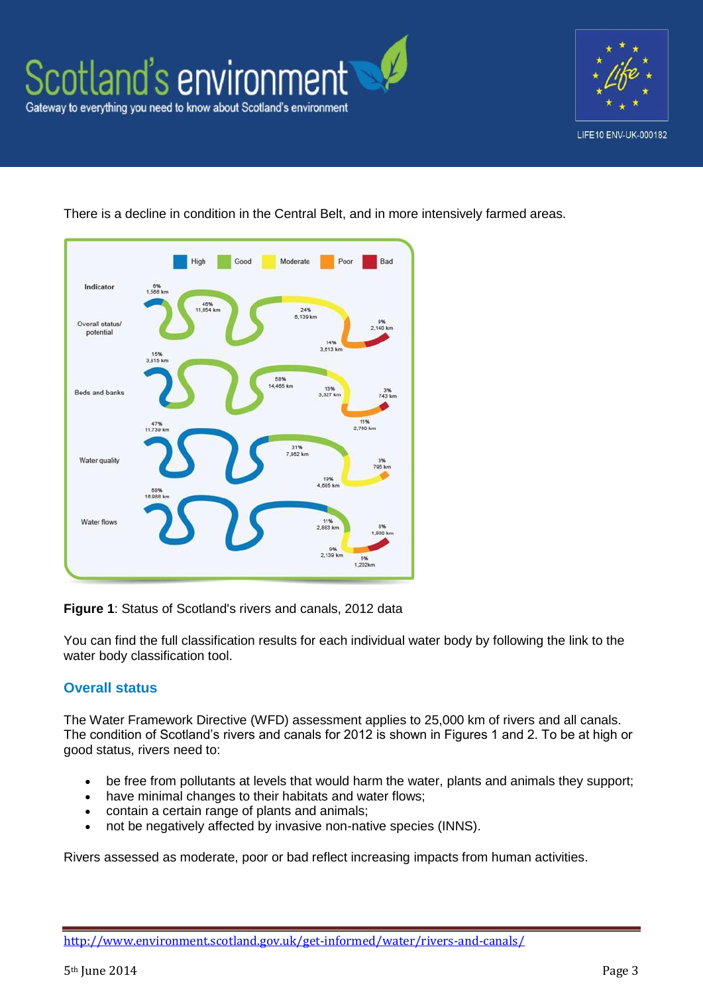





There is a decline in condition in the Central Belt, and in more intensively farmed areas.

**Figure 1**: Status of Scotland's rivers and canals, 2012 data

You can find the full classification results for each individual water body by following the link to the water body classification tool.

# **Overall status**

The Water Framework Directive (WFD) assessment applies to 25,000 km of rivers and all canals. The condition of Scotland's rivers and canals for 2012 is shown in Figures 1 and 2. To be at high or good status, rivers need to:

- be free from pollutants at levels that would harm the water, plants and animals they support;
- have minimal changes to their habitats and water flows;
- contain a certain range of plants and animals;
- not be negatively affected by invasive non-native species (INNS).

Rivers assessed as moderate, poor or bad reflect increasing impacts from human activities.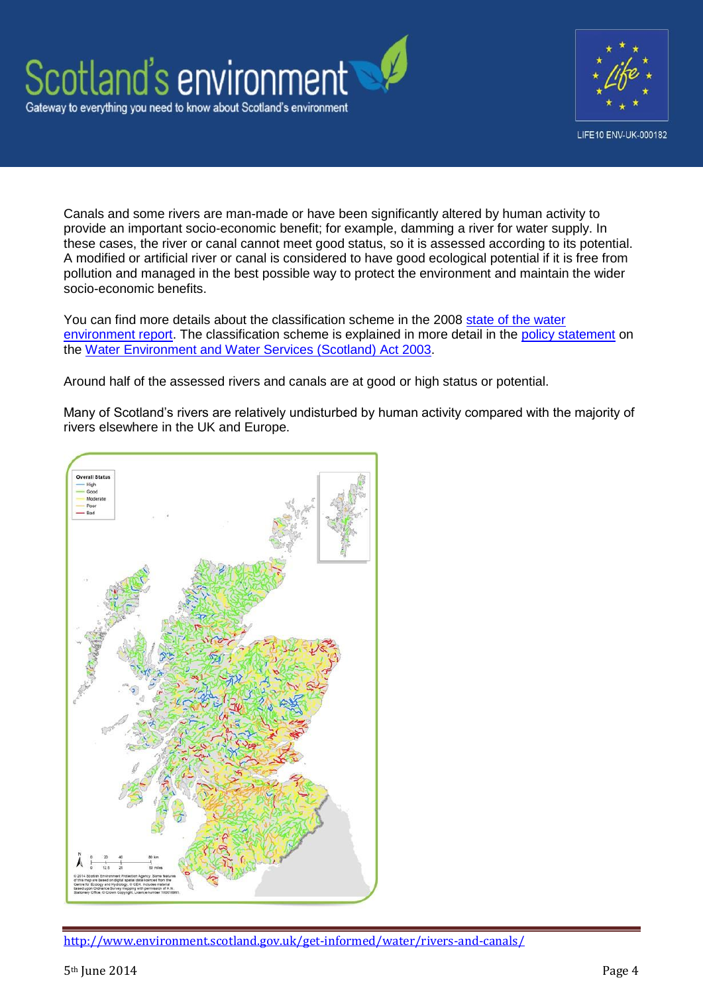



Canals and some rivers are man-made or have been significantly altered by human activity to provide an important socio-economic benefit; for example, damming a river for water supply. In these cases, the river or canal cannot meet good status, so it is assessed according to its potential. A modified or artificial river or canal is considered to have good ecological potential if it is free from pollution and managed in the best possible way to protect the environment and maintain the wider socio-economic benefits.

You can find more details about the classification scheme in the 2008 [state of the water](http://www.sepa.org.uk/water/idoc.ashx?docid=c2e7861e-4414-4ebd-9867-cfdf8d09d392&version=-1)  [environment report.](http://www.sepa.org.uk/water/idoc.ashx?docid=c2e7861e-4414-4ebd-9867-cfdf8d09d392&version=-1) The classification scheme is explained in more detail in the [policy statement](http://www.scotland.gov.uk/Publications/2010/03/02155205/4) on the [Water Environment and Water Services \(Scotland\) Act 2003.](http://www.hmso.gov.uk/legislation/scotland/acts2003/20030003.htm)

Around half of the assessed rivers and canals are at good or high status or potential.

Many of Scotland's rivers are relatively undisturbed by human activity compared with the majority of rivers elsewhere in the UK and Europe.



<http://www.environment.scotland.gov.uk/get-informed/water/rivers-and-canals/>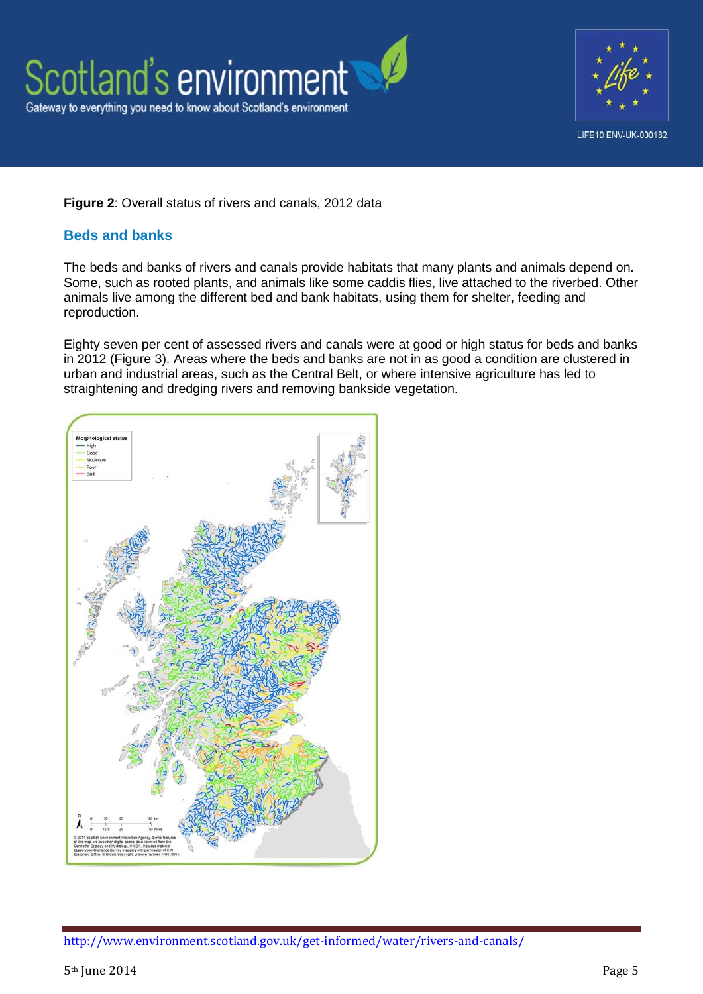



### **Figure 2**: Overall status of rivers and canals, 2012 data

### **Beds and banks**

The beds and banks of rivers and canals provide habitats that many plants and animals depend on. Some, such as rooted plants, and animals like some caddis flies, live attached to the riverbed. Other animals live among the different bed and bank habitats, using them for shelter, feeding and reproduction.

Eighty seven per cent of assessed rivers and canals were at good or high status for beds and banks in 2012 (Figure 3). Areas where the beds and banks are not in as good a condition are clustered in urban and industrial areas, such as the Central Belt, or where intensive agriculture has led to straightening and dredging rivers and removing bankside vegetation.

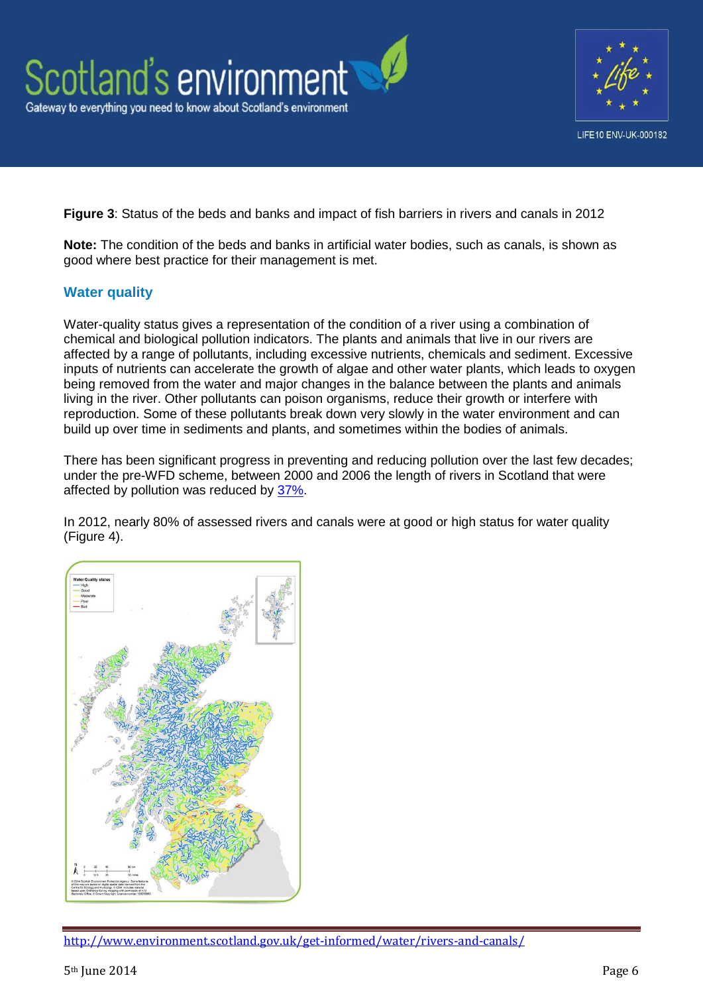



**Figure 3**: Status of the beds and banks and impact of fish barriers in rivers and canals in 2012

**Note:** The condition of the beds and banks in artificial water bodies, such as canals, is shown as good where best practice for their management is met.

### **Water quality**

Water-quality status gives a representation of the condition of a river using a combination of chemical and biological pollution indicators. The plants and animals that live in our rivers are affected by a range of pollutants, including excessive nutrients, chemicals and sediment. Excessive inputs of nutrients can accelerate the growth of algae and other water plants, which leads to oxygen being removed from the water and major changes in the balance between the plants and animals living in the river. Other pollutants can poison organisms, reduce their growth or interfere with reproduction. Some of these pollutants break down very slowly in the water environment and can build up over time in sediments and plants, and sometimes within the bodies of animals.

There has been significant progress in preventing and reducing pollution over the last few decades; under the pre-WFD scheme, between 2000 and 2006 the length of rivers in Scotland that were affected by pollution was reduced by [37%.](http://www.sepa.org.uk/science_and_research/data_and_reports/water/water_environment_review_2006.aspx)

In 2012, nearly 80% of assessed rivers and canals were at good or high status for water quality (Figure 4).



<http://www.environment.scotland.gov.uk/get-informed/water/rivers-and-canals/>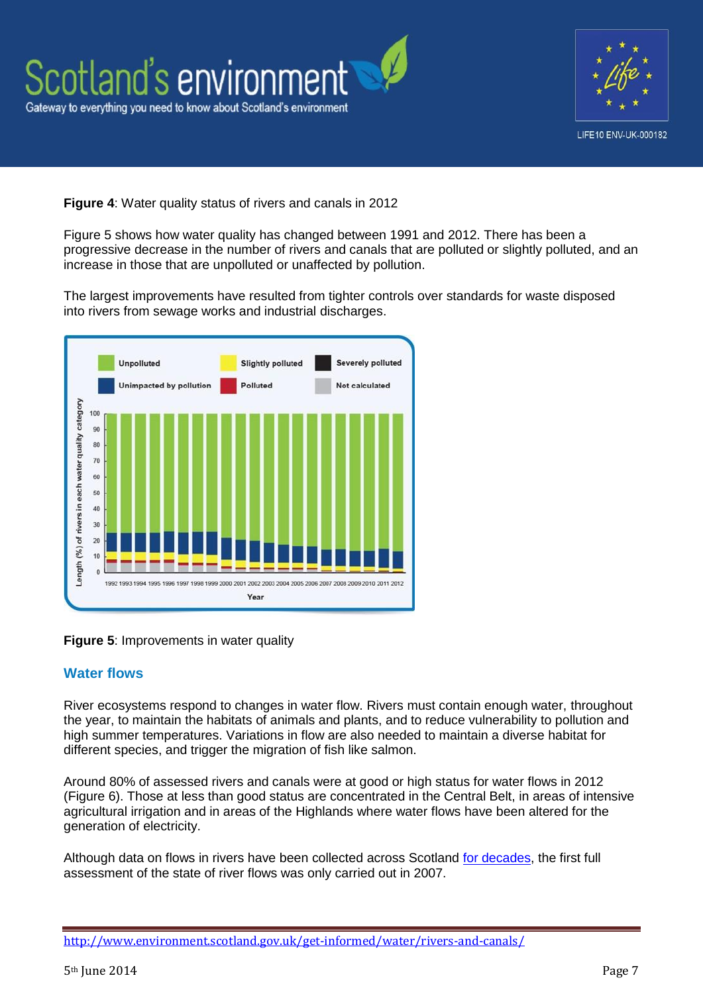

**Figure 4**: Water quality status of rivers and canals in 2012

Figure 5 shows how water quality has changed between 1991 and 2012. There has been a progressive decrease in the number of rivers and canals that are polluted or slightly polluted, and an increase in those that are unpolluted or unaffected by pollution.

The largest improvements have resulted from tighter controls over standards for waste disposed into rivers from sewage works and industrial discharges.



**Figure 5**: Improvements in water quality

### **Water flows**

River ecosystems respond to changes in water flow. Rivers must contain enough water, throughout the year, to maintain the habitats of animals and plants, and to reduce vulnerability to pollution and high summer temperatures. Variations in flow are also needed to maintain a diverse habitat for different species, and trigger the migration of fish like salmon.

Around 80% of assessed rivers and canals were at good or high status for water flows in 2012 (Figure 6). Those at less than good status are concentrated in the Central Belt, in areas of intensive agricultural irrigation and in areas of the Highlands where water flows have been altered for the generation of electricity.

Although data on flows in rivers have been collected across Scotland [for decades,](http://www.sepa.org.uk/water/river_levels/river_level_monitoring_history.aspx) the first full assessment of the state of river flows was only carried out in 2007.

<http://www.environment.scotland.gov.uk/get-informed/water/rivers-and-canals/>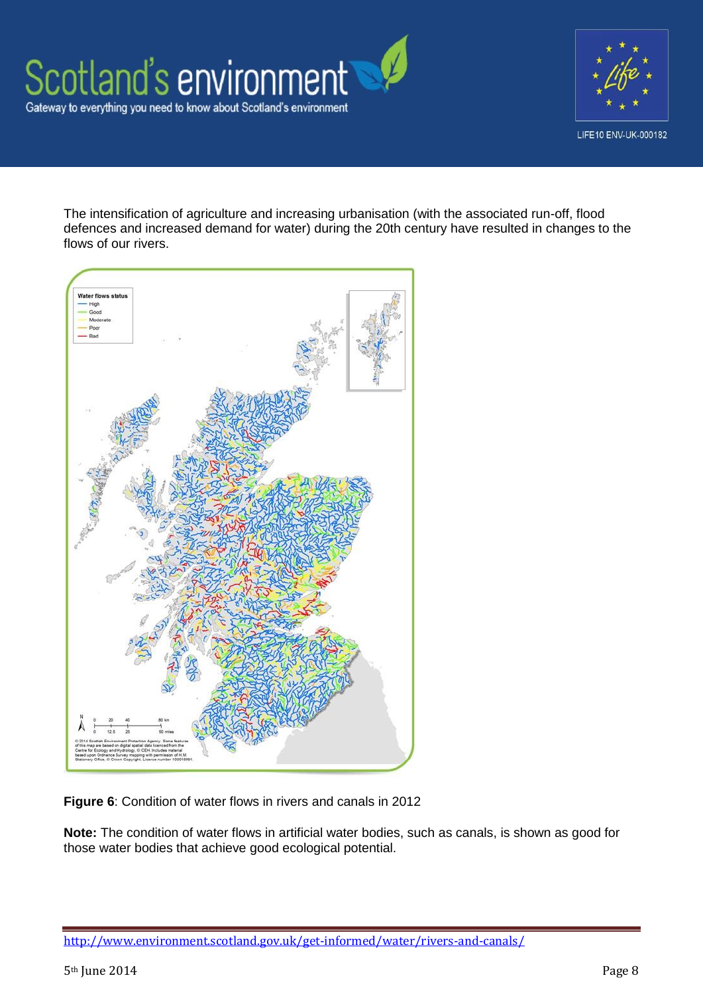



The intensification of agriculture and increasing urbanisation (with the associated run-off, flood defences and increased demand for water) during the 20th century have resulted in changes to the flows of our rivers.



**Figure 6**: Condition of water flows in rivers and canals in 2012

**Note:** The condition of water flows in artificial water bodies, such as canals, is shown as good for those water bodies that achieve good ecological potential.

<http://www.environment.scotland.gov.uk/get-informed/water/rivers-and-canals/>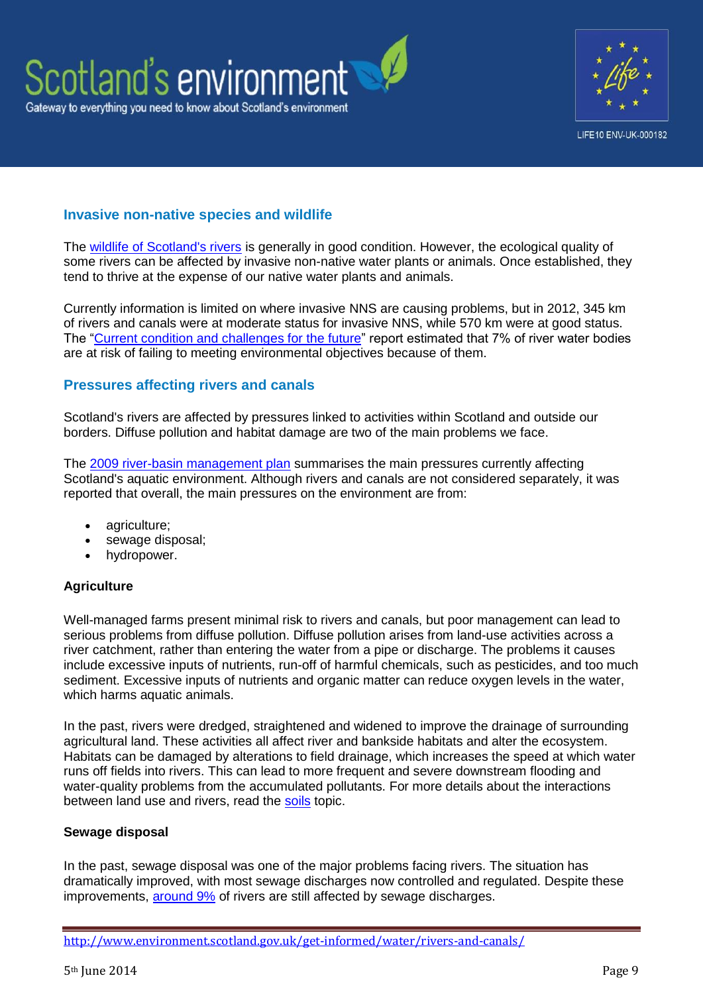



### **Invasive non-native species and wildlife**

The [wildlife of Scotland's rivers](http://www.environment.scotland.gov.uk/get-informed/water/rivers-and-lochs/) is generally in good condition. However, the ecological quality of some rivers can be affected by invasive non-native water plants or animals. Once established, they tend to thrive at the expense of our native water plants and animals.

Currently information is limited on where invasive NNS are causing problems, but in 2012, 345 km of rivers and canals were at moderate status for invasive NNS, while 570 km were at good status. The ["Current condition and challenges for the future"](http://www.sepa.org.uk/water/river_basin_planning/significant_issues.aspx) report estimated that 7% of river water bodies are at risk of failing to meeting environmental objectives because of them.

#### **Pressures affecting rivers and canals**

Scotland's rivers are affected by pressures linked to activities within Scotland and outside our borders. Diffuse pollution and habitat damage are two of the main problems we face.

The [2009 river-basin management plan](http://www.sepa.org.uk/water/river_basin_planning.aspx) summarises the main pressures currently affecting Scotland's aquatic environment. Although rivers and canals are not considered separately, it was reported that overall, the main pressures on the environment are from:

- agriculture;
- sewage disposal;
- hydropower.

#### **Agriculture**

Well-managed farms present minimal risk to rivers and canals, but poor management can lead to serious problems from diffuse pollution. Diffuse pollution arises from land-use activities across a river catchment, rather than entering the water from a pipe or discharge. The problems it causes include excessive inputs of nutrients, run-off of harmful chemicals, such as pesticides, and too much sediment. Excessive inputs of nutrients and organic matter can reduce oxygen levels in the water. which harms aquatic animals.

In the past, rivers were dredged, straightened and widened to improve the drainage of surrounding agricultural land. These activities all affect river and bankside habitats and alter the ecosystem. Habitats can be damaged by alterations to field drainage, which increases the speed at which water runs off fields into rivers. This can lead to more frequent and severe downstream flooding and water-quality problems from the accumulated pollutants. For more details about the interactions between land use and rivers, read the [soils](http://www.environment.scotland.gov.uk/get-informed/land/soils/) topic.

#### **Sewage disposal**

In the past, sewage disposal was one of the major problems facing rivers. The situation has dramatically improved, with most sewage discharges now controlled and regulated. Despite these improvements, [around 9%](http://www.sepa.org.uk/water/river_basin_planning.aspx) of rivers are still affected by sewage discharges.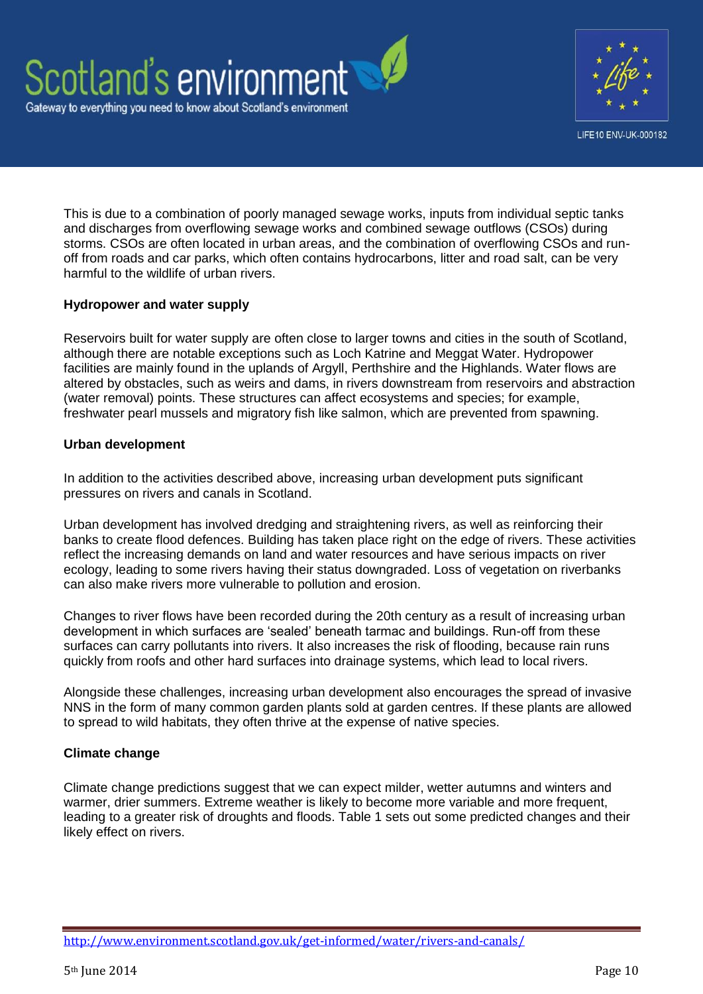



This is due to a combination of poorly managed sewage works, inputs from individual septic tanks and discharges from overflowing sewage works and combined sewage outflows (CSOs) during storms. CSOs are often located in urban areas, and the combination of overflowing CSOs and runoff from roads and car parks, which often contains hydrocarbons, litter and road salt, can be very harmful to the wildlife of urban rivers.

### **Hydropower and water supply**

Reservoirs built for water supply are often close to larger towns and cities in the south of Scotland, although there are notable exceptions such as Loch Katrine and Meggat Water. Hydropower facilities are mainly found in the uplands of Argyll. Perthshire and the Highlands. Water flows are altered by obstacles, such as weirs and dams, in rivers downstream from reservoirs and abstraction (water removal) points. These structures can affect ecosystems and species; for example, freshwater pearl mussels and migratory fish like salmon, which are prevented from spawning.

#### **Urban development**

In addition to the activities described above, increasing urban development puts significant pressures on rivers and canals in Scotland.

Urban development has involved dredging and straightening rivers, as well as reinforcing their banks to create flood defences. Building has taken place right on the edge of rivers. These activities reflect the increasing demands on land and water resources and have serious impacts on river ecology, leading to some rivers having their status downgraded. Loss of vegetation on riverbanks can also make rivers more vulnerable to pollution and erosion.

Changes to river flows have been recorded during the 20th century as a result of increasing urban development in which surfaces are 'sealed' beneath tarmac and buildings. Run-off from these surfaces can carry pollutants into rivers. It also increases the risk of flooding, because rain runs quickly from roofs and other hard surfaces into drainage systems, which lead to local rivers.

Alongside these challenges, increasing urban development also encourages the spread of invasive NNS in the form of many common garden plants sold at garden centres. If these plants are allowed to spread to wild habitats, they often thrive at the expense of native species.

#### **Climate change**

Climate change predictions suggest that we can expect milder, wetter autumns and winters and warmer, drier summers. Extreme weather is likely to become more variable and more frequent, leading to a greater risk of droughts and floods. Table 1 sets out some predicted changes and their likely effect on rivers.

<http://www.environment.scotland.gov.uk/get-informed/water/rivers-and-canals/>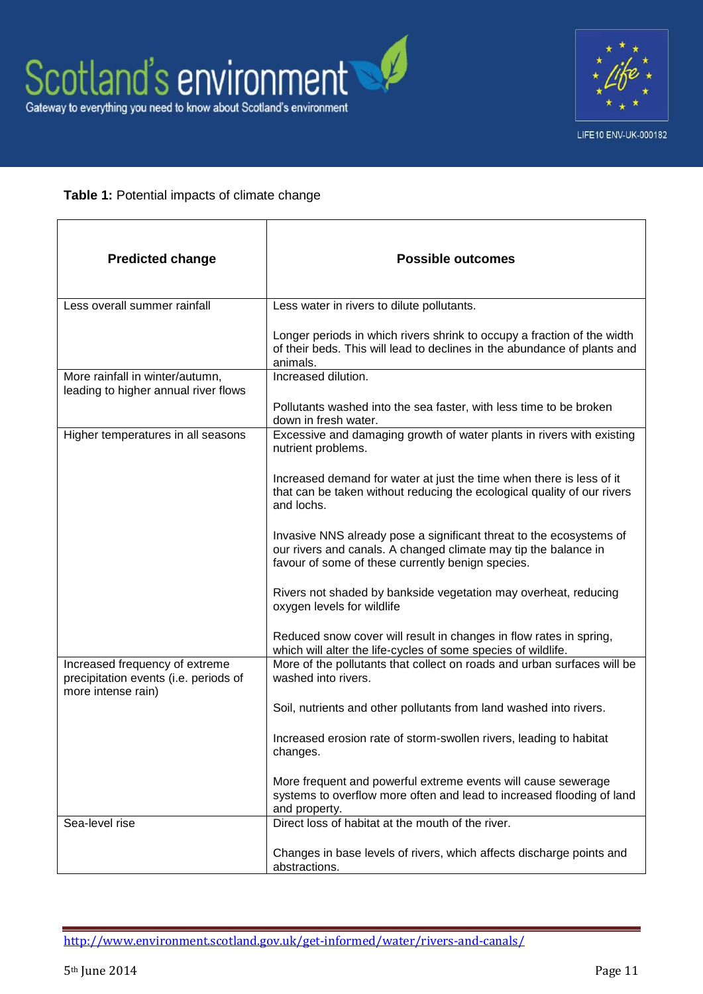

### **Table 1:** Potential impacts of climate change

| <b>Predicted change</b>                                                                       | <b>Possible outcomes</b>                                                                                                                                                                    |  |  |  |
|-----------------------------------------------------------------------------------------------|---------------------------------------------------------------------------------------------------------------------------------------------------------------------------------------------|--|--|--|
| Less overall summer rainfall                                                                  | Less water in rivers to dilute pollutants.                                                                                                                                                  |  |  |  |
|                                                                                               | Longer periods in which rivers shrink to occupy a fraction of the width<br>of their beds. This will lead to declines in the abundance of plants and<br>animals.                             |  |  |  |
| More rainfall in winter/autumn,<br>leading to higher annual river flows                       | Increased dilution.                                                                                                                                                                         |  |  |  |
|                                                                                               | Pollutants washed into the sea faster, with less time to be broken<br>down in fresh water.                                                                                                  |  |  |  |
| Higher temperatures in all seasons                                                            | Excessive and damaging growth of water plants in rivers with existing<br>nutrient problems.                                                                                                 |  |  |  |
|                                                                                               | Increased demand for water at just the time when there is less of it<br>that can be taken without reducing the ecological quality of our rivers<br>and lochs.                               |  |  |  |
|                                                                                               | Invasive NNS already pose a significant threat to the ecosystems of<br>our rivers and canals. A changed climate may tip the balance in<br>favour of some of these currently benign species. |  |  |  |
|                                                                                               | Rivers not shaded by bankside vegetation may overheat, reducing<br>oxygen levels for wildlife                                                                                               |  |  |  |
|                                                                                               | Reduced snow cover will result in changes in flow rates in spring,<br>which will alter the life-cycles of some species of wildlife.                                                         |  |  |  |
| Increased frequency of extreme<br>precipitation events (i.e. periods of<br>more intense rain) | More of the pollutants that collect on roads and urban surfaces will be<br>washed into rivers.                                                                                              |  |  |  |
|                                                                                               | Soil, nutrients and other pollutants from land washed into rivers.                                                                                                                          |  |  |  |
|                                                                                               | Increased erosion rate of storm-swollen rivers, leading to habitat<br>changes.                                                                                                              |  |  |  |
|                                                                                               | More frequent and powerful extreme events will cause sewerage<br>systems to overflow more often and lead to increased flooding of land<br>and property.                                     |  |  |  |
| Sea-level rise                                                                                | Direct loss of habitat at the mouth of the river.                                                                                                                                           |  |  |  |
|                                                                                               | Changes in base levels of rivers, which affects discharge points and<br>abstractions.                                                                                                       |  |  |  |

<http://www.environment.scotland.gov.uk/get-informed/water/rivers-and-canals/>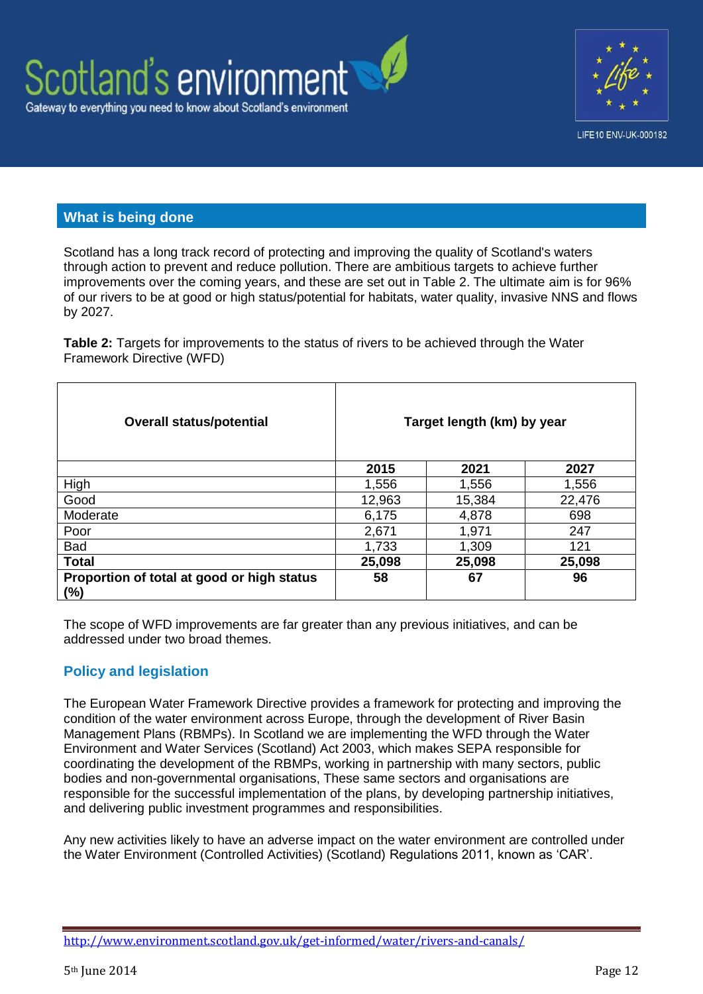



# **What is being done**

Scotland has a long track record of protecting and improving the quality of Scotland's waters through action to prevent and reduce pollution. There are ambitious targets to achieve further improvements over the coming years, and these are set out in Table 2. The ultimate aim is for 96% of our rivers to be at good or high status/potential for habitats, water quality, invasive NNS and flows by 2027.

**Table 2:** Targets for improvements to the status of rivers to be achieved through the Water Framework Directive (WFD)

| <b>Overall status/potential</b>                   |        | Target length (km) by year |        |
|---------------------------------------------------|--------|----------------------------|--------|
|                                                   | 2015   | 2021                       | 2027   |
| High                                              | 1,556  | 1,556                      | 1,556  |
| Good                                              | 12,963 | 15,384                     | 22,476 |
| Moderate                                          | 6,175  | 4,878                      | 698    |
| Poor                                              | 2,671  | 1,971                      | 247    |
| <b>Bad</b>                                        | 1,733  | 1,309                      | 121    |
| <b>Total</b>                                      | 25,098 | 25,098                     | 25,098 |
| Proportion of total at good or high status<br>(%) | 58     | 67                         | 96     |

The scope of WFD improvements are far greater than any previous initiatives, and can be addressed under two broad themes.

# **Policy and legislation**

The European Water Framework Directive provides a framework for protecting and improving the condition of the water environment across Europe, through the development of River Basin Management Plans (RBMPs). In Scotland we are implementing the WFD through the Water Environment and Water Services (Scotland) Act 2003, which makes SEPA responsible for coordinating the development of the RBMPs, working in partnership with many sectors, public bodies and non-governmental organisations, These same sectors and organisations are responsible for the successful implementation of the plans, by developing partnership initiatives, and delivering public investment programmes and responsibilities.

Any new activities likely to have an adverse impact on the water environment are controlled under the Water Environment (Controlled Activities) (Scotland) Regulations 2011, known as 'CAR'.

<http://www.environment.scotland.gov.uk/get-informed/water/rivers-and-canals/>